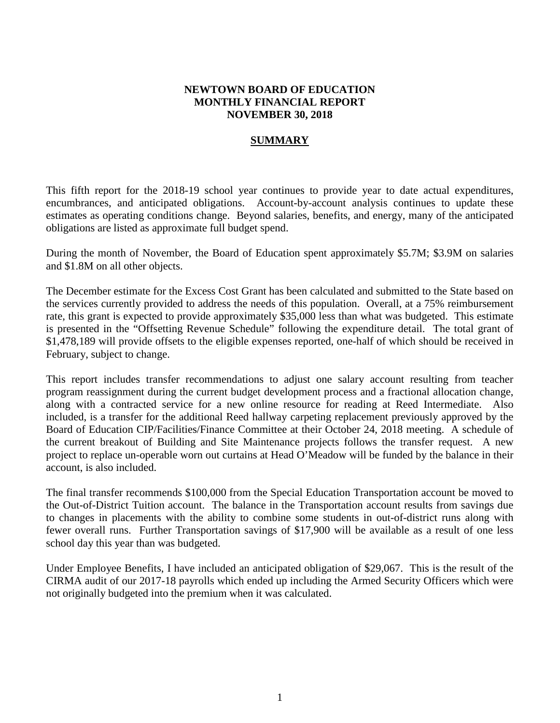## **NEWTOWN BOARD OF EDUCATION MONTHLY FINANCIAL REPORT NOVEMBER 30, 2018**

## **SUMMARY**

This fifth report for the 2018-19 school year continues to provide year to date actual expenditures, encumbrances, and anticipated obligations. Account-by-account analysis continues to update these estimates as operating conditions change. Beyond salaries, benefits, and energy, many of the anticipated obligations are listed as approximate full budget spend.

During the month of November, the Board of Education spent approximately \$5.7M; \$3.9M on salaries and \$1.8M on all other objects.

The December estimate for the Excess Cost Grant has been calculated and submitted to the State based on the services currently provided to address the needs of this population. Overall, at a 75% reimbursement rate, this grant is expected to provide approximately \$35,000 less than what was budgeted. This estimate is presented in the "Offsetting Revenue Schedule" following the expenditure detail. The total grant of \$1,478,189 will provide offsets to the eligible expenses reported, one-half of which should be received in February, subject to change.

This report includes transfer recommendations to adjust one salary account resulting from teacher program reassignment during the current budget development process and a fractional allocation change, along with a contracted service for a new online resource for reading at Reed Intermediate. Also included, is a transfer for the additional Reed hallway carpeting replacement previously approved by the Board of Education CIP/Facilities/Finance Committee at their October 24, 2018 meeting. A schedule of the current breakout of Building and Site Maintenance projects follows the transfer request. A new project to replace un-operable worn out curtains at Head O'Meadow will be funded by the balance in their account, is also included.

The final transfer recommends \$100,000 from the Special Education Transportation account be moved to the Out-of-District Tuition account. The balance in the Transportation account results from savings due to changes in placements with the ability to combine some students in out-of-district runs along with fewer overall runs. Further Transportation savings of \$17,900 will be available as a result of one less school day this year than was budgeted.

Under Employee Benefits, I have included an anticipated obligation of \$29,067. This is the result of the CIRMA audit of our 2017-18 payrolls which ended up including the Armed Security Officers which were not originally budgeted into the premium when it was calculated.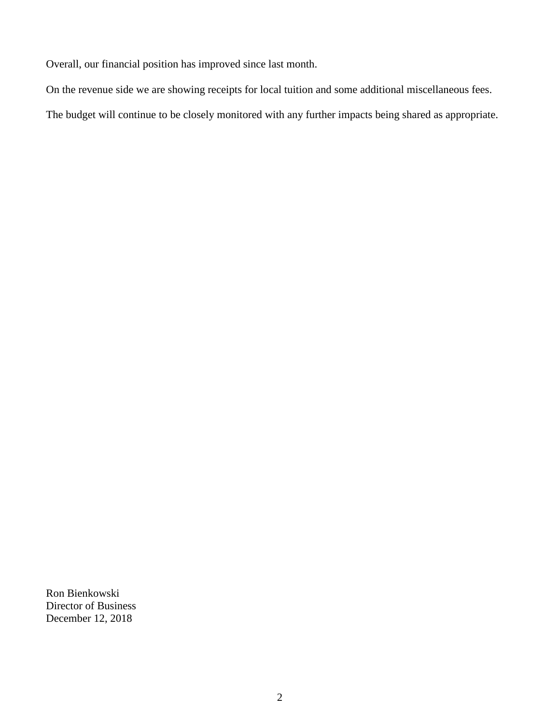Overall, our financial position has improved since last month.

On the revenue side we are showing receipts for local tuition and some additional miscellaneous fees.

The budget will continue to be closely monitored with any further impacts being shared as appropriate.

Ron Bienkowski Director of Business December 12, 2018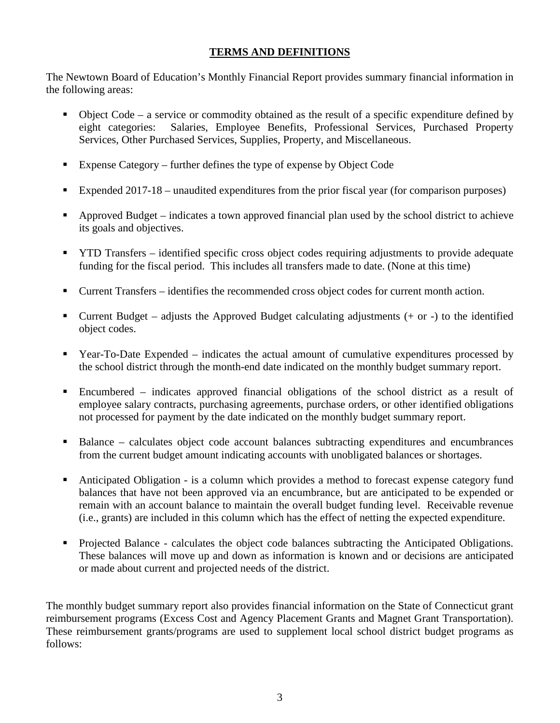## **TERMS AND DEFINITIONS**

The Newtown Board of Education's Monthly Financial Report provides summary financial information in the following areas:

- Object Code a service or commodity obtained as the result of a specific expenditure defined by eight categories: Salaries, Employee Benefits, Professional Services, Purchased Property Services, Other Purchased Services, Supplies, Property, and Miscellaneous.
- Expense Category further defines the type of expense by Object Code
- Expended 2017-18 unaudited expenditures from the prior fiscal year (for comparison purposes)
- Approved Budget indicates a town approved financial plan used by the school district to achieve its goals and objectives.
- **THE TRANSFER** identified specific cross object codes requiring adjustments to provide adequate funding for the fiscal period. This includes all transfers made to date. (None at this time)
- Current Transfers identifies the recommended cross object codes for current month action.
- Current Budget adjusts the Approved Budget calculating adjustments  $(+)$  or  $-)$  to the identified object codes.
- Year-To-Date Expended indicates the actual amount of cumulative expenditures processed by the school district through the month-end date indicated on the monthly budget summary report.
- Encumbered indicates approved financial obligations of the school district as a result of employee salary contracts, purchasing agreements, purchase orders, or other identified obligations not processed for payment by the date indicated on the monthly budget summary report.
- Balance calculates object code account balances subtracting expenditures and encumbrances from the current budget amount indicating accounts with unobligated balances or shortages.
- Anticipated Obligation is a column which provides a method to forecast expense category fund balances that have not been approved via an encumbrance, but are anticipated to be expended or remain with an account balance to maintain the overall budget funding level. Receivable revenue (i.e., grants) are included in this column which has the effect of netting the expected expenditure.
- Projected Balance calculates the object code balances subtracting the Anticipated Obligations. These balances will move up and down as information is known and or decisions are anticipated or made about current and projected needs of the district.

The monthly budget summary report also provides financial information on the State of Connecticut grant reimbursement programs (Excess Cost and Agency Placement Grants and Magnet Grant Transportation). These reimbursement grants/programs are used to supplement local school district budget programs as follows: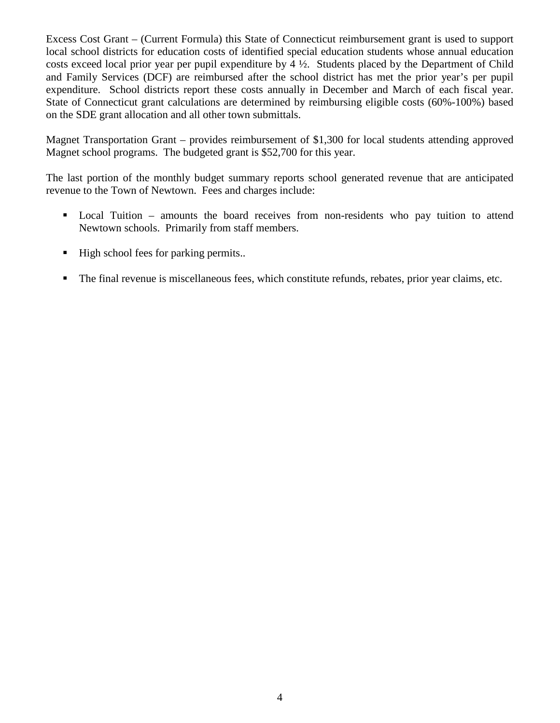Excess Cost Grant – (Current Formula) this State of Connecticut reimbursement grant is used to support local school districts for education costs of identified special education students whose annual education costs exceed local prior year per pupil expenditure by 4 ½. Students placed by the Department of Child and Family Services (DCF) are reimbursed after the school district has met the prior year's per pupil expenditure. School districts report these costs annually in December and March of each fiscal year. State of Connecticut grant calculations are determined by reimbursing eligible costs (60%-100%) based on the SDE grant allocation and all other town submittals.

Magnet Transportation Grant – provides reimbursement of \$1,300 for local students attending approved Magnet school programs. The budgeted grant is \$52,700 for this year.

The last portion of the monthly budget summary reports school generated revenue that are anticipated revenue to the Town of Newtown. Fees and charges include:

- Local Tuition amounts the board receives from non-residents who pay tuition to attend Newtown schools. Primarily from staff members.
- High school fees for parking permits..
- The final revenue is miscellaneous fees, which constitute refunds, rebates, prior year claims, etc.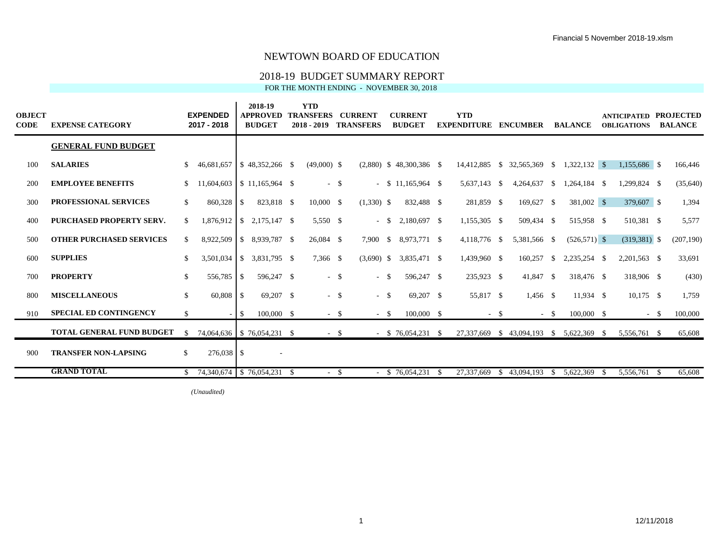#### 2018-19 BUDGET SUMMARY REPORT

FOR THE MONTH ENDING - NOVEMBER 30, 2018

| <b>OBJECT</b><br>CODE | <b>EXPENSE CATEGORY</b>          |               | <b>EXPENDED</b><br>2017 - 2018      |       | 2018-19<br><b>APPROVED</b><br><b>BUDGET</b> | <b>YTD</b><br><b>TRANSFERS</b><br>$2018 - 2019$ |        | <b>CURRENT</b><br><b>TRANSFERS</b> |          | <b>CURRENT</b><br><b>BUDGET</b> | <b>YTD</b><br><b>EXPENDITURE ENCUMBER</b> |                                          |              | <b>BALANCE</b>  |      | <b>ANTICIPATED PROJECTED</b><br><b>OBLIGATIONS</b> |       | <b>BALANCE</b> |
|-----------------------|----------------------------------|---------------|-------------------------------------|-------|---------------------------------------------|-------------------------------------------------|--------|------------------------------------|----------|---------------------------------|-------------------------------------------|------------------------------------------|--------------|-----------------|------|----------------------------------------------------|-------|----------------|
|                       | <b>GENERAL FUND BUDGET</b>       |               |                                     |       |                                             |                                                 |        |                                    |          |                                 |                                           |                                          |              |                 |      |                                                    |       |                |
| 100                   | <b>SALARIES</b>                  | <sup>S</sup>  | 46,681,657                          |       | $\frac{1}{2}$ \$ 48,352,266 \$              | $(49,000)$ \$                                   |        |                                    |          | $(2,880)$ \$ 48,300,386 \$      |                                           | 14,412,885 \$ 32,565,369 \$              |              | $1,322,132$ \$  |      | 1,155,686 \$                                       |       | 166,446        |
| 200                   | <b>EMPLOYEE BENEFITS</b>         | S.            | $11,604,603$ \ \ \$ 11,165,964 \ \$ |       |                                             | $-$ \$                                          |        |                                    |          | $-$ \$ 11,165,964 \$            | 5,637,143 \$                              | 4,264,637 \$                             |              | 1,264,184 \$    |      | 1,299,824 \$                                       |       | (35,640)       |
| 300                   | <b>PROFESSIONAL SERVICES</b>     | S.            | 860,328 \$                          |       | 823,818 \$                                  | $10,000$ \$                                     |        | $(1,330)$ \$                       |          | 832,488 \$                      | 281,859 \$                                | 169,627 \$                               |              | 381,002 \$      |      | 379,607 \$                                         |       | 1,394          |
| 400                   | <b>PURCHASED PROPERTY SERV.</b>  | \$            |                                     |       | $1,876,912$ \$ 2,175,147 \$                 | 5.550 \$                                        |        | $\sim$                             | <b>S</b> | 2.180.697 \$                    | 1,155,305 \$                              | 509,434 \$                               |              | 515,958 \$      |      | 510,381 \$                                         |       | 5,577          |
| 500                   | <b>OTHER PURCHASED SERVICES</b>  | S.            | 8,922,509                           |       | $$8,939,787$ \;                             | 26,084 \$                                       |        | 7,900                              |          |                                 | 4,118,776 \$                              | 5,381,566 \$                             |              | $(526, 571)$ \$ |      | $(319,381)$ \$                                     |       | (207, 190)     |
| 600                   | <b>SUPPLIES</b>                  | <sup>\$</sup> | 3,501,034                           |       | $\$$ 3.831.795 \$                           | 7,366 \$                                        |        | $(3,690)$ \$                       |          | 3,835,471 \$                    | 1,439,960 \$                              | 160,257                                  | <sup>S</sup> | 2,235,254 \$    |      | $2,201,563$ \$                                     |       | 33,691         |
| 700                   | <b>PROPERTY</b>                  | \$            | 556,785 \$                          |       | 596,247 \$                                  | $-$ \$                                          |        | $-$ \$                             |          | 596,247 \$                      | 235,923 \$                                | 41,847 \$                                |              | 318,476 \$      |      | 318,906 \$                                         |       | (430)          |
| 800                   | <b>MISCELLANEOUS</b>             | \$            | 60,808 \$                           |       | 69,207 \$                                   | $-$ \$                                          |        | $-$ \$                             |          | 69,207 \$                       | 55,817 \$                                 | $1,456$ \$                               |              | 11,934 \$       |      | $10,175$ \$                                        |       | 1,759          |
| 910                   | <b>SPECIAL ED CONTINGENCY</b>    | \$            |                                     | $-1S$ | $100,000$ \$                                | $-$ \$                                          |        | $-$ \$                             |          | $100,000$ \$                    | $-$ \$                                    |                                          | $-$ \$       | $100,000$ \$    |      |                                                    | $- S$ | 100,000        |
|                       | <b>TOTAL GENERAL FUND BUDGET</b> | S.            |                                     |       | 74,064,636   \$76,054,231 \$                |                                                 | $-$ \$ |                                    |          | $-$ \$ 76,054,231 \$            |                                           | 27,337,669 \$ 43,094,193 \$ 5,622,369 \$ |              |                 |      | 5,556,761 \$                                       |       | 65,608         |
| 900                   | <b>TRANSFER NON-LAPSING</b>      | \$            | $276.038$ \$                        |       | $\sim$                                      |                                                 |        |                                    |          |                                 |                                           |                                          |              |                 |      |                                                    |       |                |
|                       | <b>GRAND TOTAL</b>               |               | $$74,340,674$ $$76,054,231$ \$      |       |                                             |                                                 | -S     |                                    |          | $-$ \$ 76,054,231 \$            | 27,337,669                                | \$43,094,193                             | $\mathbb{S}$ | 5,622,369       | - \$ | 5,556,761 \$                                       |       | 65,608         |

 $(Unaudited)$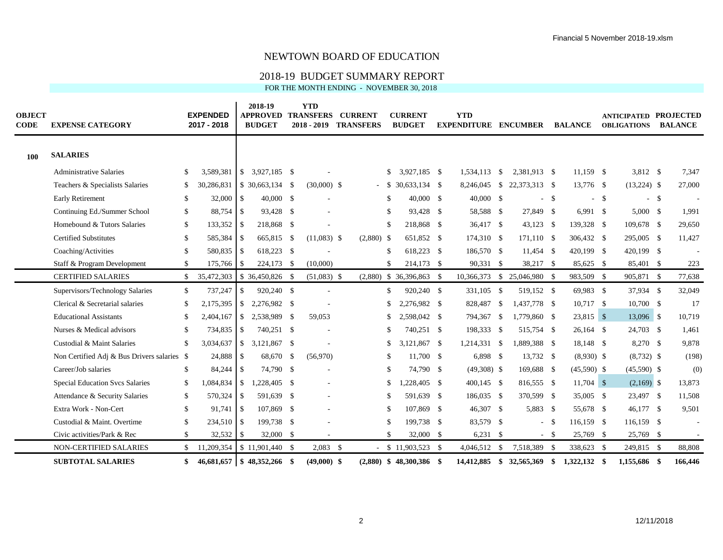#### 2018-19 BUDGET SUMMARY REPORT

| <b>OBJECT</b><br><b>CODE</b> | <b>EXPENSE CATEGORY</b>                     |               | <b>EXPENDED</b><br>2017 - 2018 |               | 2018-19<br><b>APPROVED</b><br><b>BUDGET</b> | <b>YTD</b><br><b>TRANSFERS</b><br>$2018 - 2019$ | <b>CURRENT</b><br><b>TRANSFERS</b> |     | <b>CURRENT</b><br><b>BUDGET</b> |              |      | <b>YTD</b><br><b>EXPENDITURE</b> |              | <b>ENCUMBER</b>            |        | <b>BALANCE</b> |        | <b>ANTICIPATED PROJECTED</b><br><b>OBLIGATIONS</b> |        | <b>BALANCE</b> |
|------------------------------|---------------------------------------------|---------------|--------------------------------|---------------|---------------------------------------------|-------------------------------------------------|------------------------------------|-----|---------------------------------|--------------|------|----------------------------------|--------------|----------------------------|--------|----------------|--------|----------------------------------------------------|--------|----------------|
| <b>100</b>                   | <b>SALARIES</b>                             |               |                                |               |                                             |                                                 |                                    |     |                                 |              |      |                                  |              |                            |        |                |        |                                                    |        |                |
|                              | <b>Administrative Salaries</b>              | <sup>\$</sup> | 3.589.381                      |               |                                             |                                                 |                                    | \$. | 3,927,185 \$                    |              |      | 1.534.113                        | -\$          | 2.381.913 \$               |        | $11.159$ \$    |        | 3,812 \$                                           |        | 7,347          |
|                              | Teachers & Specialists Salaries             | \$.           |                                |               | 30,286,831 \$ 30,663,134 \$                 | $(30,000)$ \$                                   |                                    |     | $$30,633,134$ \\$               |              |      |                                  |              | 8,246,045 \$ 22,373,313 \$ |        | 13,776 \$      |        | $(13,224)$ \$                                      |        | 27,000         |
|                              | <b>Early Retirement</b>                     | -S            | $32,000$ \$                    |               | $40,000$ \$                                 |                                                 |                                    | \$. |                                 | 40,000 \$    |      | 40,000 \$                        |              |                            | $-$ \$ |                | $-$ \$ |                                                    | $-$ \$ |                |
|                              | Continuing Ed./Summer School                | \$            |                                |               | 93,428 \$                                   |                                                 |                                    | \$. |                                 | 93,428 \$    |      | 58,588 \$                        |              | 27,849 \$                  |        | $6,991$ \$     |        | $5,000$ \$                                         |        | 1,991          |
|                              | Homebound & Tutors Salaries                 | \$            | $133,352$ \$                   |               | 218,868 \$                                  |                                                 |                                    | \$. |                                 | 218,868 \$   |      | 36,417 \$                        |              | $43,123$ \$                |        | 139,328 \$     |        | 109,678 \$                                         |        | 29,650         |
|                              | <b>Certified Substitutes</b>                | \$            | 585,384 \$                     |               | 665,815 \$                                  | $(11,083)$ \$                                   | $(2,880)$ \$                       |     |                                 | 651,852 \$   |      | 174,310 \$                       |              | 171,110 \$                 |        | 306,432 \$     |        | 295,005 \$                                         |        | 11,427         |
|                              | Coaching/Activities                         | \$            | 580,835 \$                     |               | 618,223 \$                                  |                                                 |                                    | \$. |                                 | 618,223 \$   |      | 186,570 \$                       |              | 11,454 \$                  |        | 420,199 \$     |        | 420,199 \$                                         |        |                |
|                              | Staff & Program Development                 | <sup>\$</sup> | $175,766$ \$                   |               | 224,173 \$                                  | (10,000)                                        |                                    | \$. |                                 | 214,173 \$   |      | 90,331 \$                        |              | 38,217 \$                  |        | 85,625 \$      |        | 85,401 \$                                          |        | 223            |
|                              | <b>CERTIFIED SALARIES</b>                   | \$            | 35,472,303                     |               | \$ 36,450,826 \$                            | $(51,083)$ \$                                   |                                    |     | $(2,880)$ \$ 36,396,863         |              | - \$ | 10,366,373                       | $\mathbb{S}$ | 25,046,980 \$              |        | 983,509 \$     |        | 905,871 \$                                         |        | 77,638         |
|                              | Supervisors/Technology Salaries             | $\mathbb{S}$  | 737,247                        | <sup>\$</sup> | 920,240 \$                                  |                                                 |                                    | \$  |                                 | 920,240 \$   |      | 331,105 \$                       |              | 519,152 \$                 |        | 69,983 \$      |        | 37,934 \$                                          |        | 32,049         |
|                              | Clerical & Secretarial salaries             | \$            | 2,175,395                      |               |                                             |                                                 |                                    | S.  | 2,276,982 \$                    |              |      | 828,487                          | -\$          | 1,437,778 \$               |        | 10,717 \$      |        | 10,700 \$                                          |        | 17             |
|                              | <b>Educational Assistants</b>               | -S            | 2,404,167                      | $\mathbb{S}$  | 2,538,989 \$                                | 59,053                                          |                                    | S.  | 2,598,042 \$                    |              |      | 794,367                          | - \$         | 1,779,860 \$               |        | 23,815 \$      |        | 13,096 \$                                          |        | 10,719         |
|                              | Nurses & Medical advisors                   | -S            | 734,835                        | -S            | 740,251 \$                                  |                                                 |                                    | S   |                                 | 740,251 \$   |      | 198,333 \$                       |              | 515,754 \$                 |        | $26,164$ \$    |        | 24,703 \$                                          |        | 1,461          |
|                              | Custodial & Maint Salaries                  | $\mathcal{S}$ | $3,034,637$ \$                 |               | 3,121,867 \$                                |                                                 |                                    | S.  | 3,121,867 \$                    |              |      | 1,214,331 \$                     |              | 1,889,388 \$               |        | 18,148 \$      |        | 8,270 \$                                           |        | 9,878          |
|                              | Non Certified Adj & Bus Drivers salaries \$ |               | 24,888 \$                      |               | 68,670 \$                                   | (56,970)                                        |                                    | \$. |                                 | 11,700 \$    |      | 6,898 \$                         |              | 13,732 \$                  |        | $(8,930)$ \$   |        | $(8,732)$ \$                                       |        | (198)          |
|                              | Career/Job salaries                         | <sup>\$</sup> |                                |               | 74,790 \$                                   |                                                 |                                    | S   |                                 | 74,790 \$    |      | $(49,308)$ \$                    |              | 169,688 \$                 |        | $(45,590)$ \$  |        | $(45,590)$ \$                                      |        | (0)            |
|                              | <b>Special Education Svcs Salaries</b>      | \$            | $1,084,834$ \$                 |               | 1,228,405 \$                                |                                                 |                                    | \$  |                                 | 1,228,405 \$ |      | $400,145$ \$                     |              | 816,555 \$                 |        | $11,704$ \$    |        | $(2,169)$ \$                                       |        | 13,873         |
|                              | Attendance & Security Salaries              | \$            | 570,324 \$                     |               | 591,639 \$                                  |                                                 |                                    | \$. |                                 | 591,639 \$   |      | 186,035 \$                       |              | 370,599 \$                 |        | 35,005 \$      |        | 23,497 \$                                          |        | 11,508         |
|                              | Extra Work - Non-Cert                       | <sup>\$</sup> | $91,741$ \$                    |               | 107,869 \$                                  |                                                 |                                    | S   |                                 | 107,869 \$   |      | 46,307 \$                        |              | 5,883 \$                   |        | 55,678 \$      |        | 46,177 \$                                          |        | 9,501          |
|                              | Custodial & Maint. Overtime                 | <sup>\$</sup> | 234,510 \$                     |               | 199,738 \$                                  |                                                 |                                    | S   |                                 | 199,738 \$   |      | 83,579 \$                        |              |                            | $-$ \$ | 116,159 \$     |        | 116,159 \$                                         |        |                |
|                              | Civic activities/Park & Rec                 | \$            | 32,532                         | \$            | $32,000$ \$                                 |                                                 |                                    | \$. |                                 | 32,000 \$    |      | $6,231$ \$                       |              |                            | $-$ \$ | 25,769 \$      |        | 25,769 \$                                          |        |                |
|                              | NON-CERTIFIED SALARIES                      |               | \$11,209,354                   |               | $$11,901,440$ \\$                           | 2,083                                           | - \$                               |     | $$11,903,523$ \\$               |              |      | 4,046,512 \$                     |              | 7,518,389 \$               |        | 338,623 \$     |        | 249,815 \$                                         |        | 88,808         |
|                              | <b>SUBTOTAL SALARIES</b>                    | \$            |                                |               | $46,681,657$ \$ $48,352,266$ \$             | $(49,000)$ \$                                   |                                    |     | $(2,880)$ \$ 48,300,386 \$      |              |      | 14.412.885 \$                    |              | 32,565,369 \$              |        | 1.322.132 \$   |        | 1.155,686 \$                                       |        | 166,446        |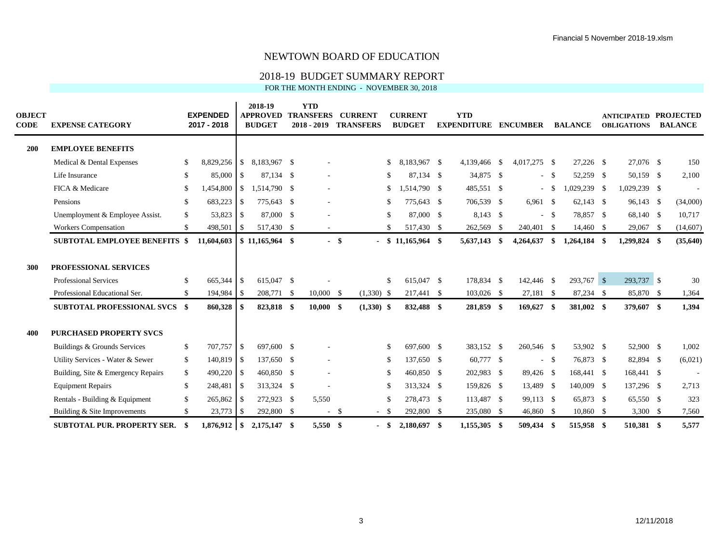#### 2018-19 BUDGET SUMMARY REPORT

| <b>OBJECT</b><br><b>CODE</b> | <b>EXPENSE CATEGORY</b>              |               | <b>EXPENDED</b><br>2017 - 2018 |    | 2018-19<br><b>APPROVED</b><br><b>BUDGET</b> |    | <b>YTD</b><br><b>TRANSFERS</b><br>$2018 - 2019$ |       | <b>CURRENT</b><br><b>TRANSFERS</b> |               | <b>CURRENT</b><br><b>BUDGET</b> |      | <b>YTD</b><br><b>EXPENDITURE</b> | <b>ENCUMBER</b> |       | <b>BALANCE</b> | <b>ANTICIPATED</b><br><b>OBLIGATIONS</b> | <b>PROJECTED</b><br><b>BALANCE</b> |
|------------------------------|--------------------------------------|---------------|--------------------------------|----|---------------------------------------------|----|-------------------------------------------------|-------|------------------------------------|---------------|---------------------------------|------|----------------------------------|-----------------|-------|----------------|------------------------------------------|------------------------------------|
| <b>200</b>                   | <b>EMPLOYEE BENEFITS</b>             |               |                                |    |                                             |    |                                                 |       |                                    |               |                                 |      |                                  |                 |       |                |                                          |                                    |
|                              | Medical & Dental Expenses            | -S            | 8,829,256 \$                   |    | 8,183,967 \$                                |    |                                                 |       |                                    | <sup>\$</sup> | 8,183,967 \$                    |      | 4,139,466 \$                     | 4,017,275 \$    |       | 27.226 \$      | 27,076 \$                                | 150                                |
|                              | Life Insurance                       | -S            | 85,000 \$                      |    | 87,134 \$                                   |    | ä,                                              |       |                                    | -S            | 87,134 \$                       |      | 34,875 \$                        | $\sim$          | - \$  | 52,259 \$      | 50,159 \$                                | 2,100                              |
|                              | FICA & Medicare                      | <sup>\$</sup> | 1,454,800                      | \$ | 1,514,790 \$                                |    | ä,                                              |       |                                    | \$            | 1,514,790 \$                    |      | 485,551 \$                       | $\sim$          | - \$  | 1,029,239 \$   | 1,029,239 \$                             |                                    |
|                              | Pensions                             | -S            | 683,223 \$                     |    | 775,643 \$                                  |    | $\overline{\phantom{a}}$                        |       |                                    | -S            | 775,643 \$                      |      | 706,539 \$                       | $6,961$ \$      |       | $62,143$ \$    | 96,143 \$                                | (34,000)                           |
|                              | Unemployment & Employee Assist.      | \$            | 53,823 \$                      |    | 87,000 \$                                   |    |                                                 |       |                                    | -S            | 87,000 \$                       |      | 8,143 \$                         | $\sim$          | - \$  | 78,857 \$      | 68,140 \$                                | 10,717                             |
|                              | <b>Workers Compensation</b>          | <sup>\$</sup> |                                |    | 517,430 \$                                  |    | $\sim$                                          |       |                                    | -S            | 517,430 \$                      |      | 262,569 \$                       | 240,401 \$      |       | 14,460 \$      | 29,067 \$                                | (14,607)                           |
|                              | <b>SUBTOTAL EMPLOYEE BENEFITS \$</b> |               | 11,604,603                     |    | $$11,165,964$ \,                            |    |                                                 | - \$  |                                    |               | $$11,165,964$ \\$               |      | 5,637,143 \$                     | 4,264,637       | - \$  | $1,264,184$ \$ | 1,299,824 \$                             | (35,640)                           |
| 300                          | PROFESSIONAL SERVICES                |               |                                |    |                                             |    |                                                 |       |                                    |               |                                 |      |                                  |                 |       |                |                                          |                                    |
|                              | <b>Professional Services</b>         | <sup>\$</sup> | 665,344 \$                     |    | 615,047 \$                                  |    |                                                 |       |                                    | -S            | 615,047 \$                      |      | 178,834 \$                       | 142,446 \$      |       | 293,767 \$     | 293,737 \$                               | 30                                 |
|                              | Professional Educational Ser.        | <sup>\$</sup> | 194,984 \$                     |    | 208,771 \$                                  |    | $10,000 \quad$ \$                               |       | $(1,330)$ \$                       |               | 217,441 \$                      |      | $103,026$ \$                     | 27,181 \$       |       | 87,234 \$      | 85,870 \$                                | 1,364                              |
|                              | <b>SUBTOTAL PROFESSIONAL SVCS \$</b> |               | 860,328                        | -S | 823,818 \$                                  |    | 10,000 S                                        |       | $(1,330)$ \$                       |               | 832,488 \$                      |      | 281,859 \$                       | 169,627 \$      |       | 381,002 \$     | 379,607 \$                               | 1,394                              |
| 400                          | <b>PURCHASED PROPERTY SVCS</b>       |               |                                |    |                                             |    |                                                 |       |                                    |               |                                 |      |                                  |                 |       |                |                                          |                                    |
|                              | Buildings & Grounds Services         | \$            | 707,757 \$                     |    | 697,600 \$                                  |    |                                                 |       |                                    | S.            | 697,600 \$                      |      | 383,152 \$                       | 260,546 \$      |       | 53,902 \$      | 52,900 \$                                | 1,002                              |
|                              | Utility Services - Water & Sewer     | \$            | 140,819 \$                     |    | 137,650 \$                                  |    |                                                 |       |                                    | -S            | 137,650 \$                      |      | 60,777 \$                        |                 | $- S$ | 76,873 \$      | 82,894 \$                                | (6,021)                            |
|                              | Building, Site & Emergency Repairs   | \$            | $490,220$ \$                   |    | 460,850 \$                                  |    | $\overline{\phantom{a}}$                        |       |                                    | -\$           | 460,850 \$                      |      | 202,983 \$                       | 89,426 \$       |       | 168,441 \$     | 168,441 \$                               | $\overline{\phantom{a}}$           |
|                              | <b>Equipment Repairs</b>             | $\mathbb{S}$  | 248,481 \$                     |    | 313,324 \$                                  |    |                                                 |       |                                    | -S            | 313,324 \$                      |      | 159,826 \$                       | 13,489 \$       |       | 140,009 \$     | 137,296 \$                               | 2,713                              |
|                              | Rentals - Building & Equipment       | $\mathbb{S}$  | $265,862$ \$                   |    | 272,923 \$                                  |    | 5,550                                           |       |                                    | <sup>\$</sup> | 278,473 \$                      |      | 113,487 \$                       | 99,113 \$       |       | 65,873 \$      | 65,550 \$                                | 323                                |
|                              | Building & Site Improvements         | <sup>\$</sup> | $23,773$ \$                    |    | 292,800 \$                                  |    |                                                 | $- S$ |                                    | - \$          | 292,800                         | -S   | 235,080 \$                       | 46,860 \$       |       | 10,860 \$      | $3,300$ \$                               | 7,560                              |
|                              | <b>SUBTOTAL PUR. PROPERTY SER.</b>   |               | $1,876,912$ \$                 |    | 2,175,147                                   | -8 | 5,550                                           | -8    |                                    | - \$          | 2,180,697                       | - \$ | 1.155.305 \$                     | 509,434 \$      |       | 515,958 \$     | 510.381 \$                               | 5.577                              |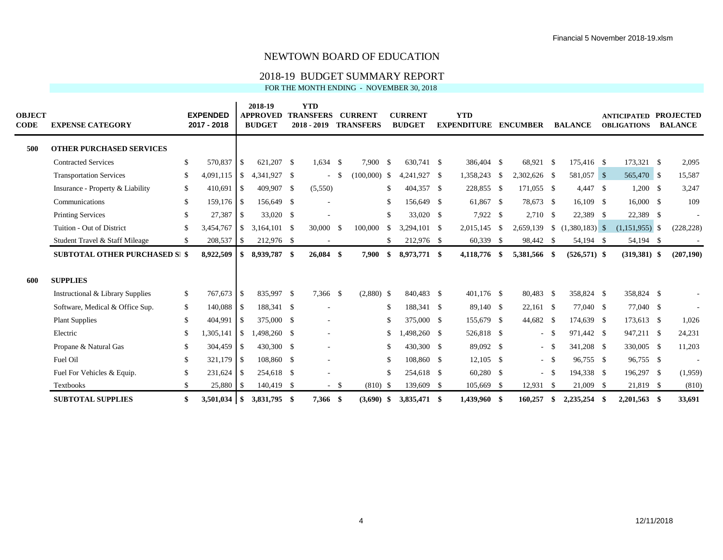#### 2018-19 BUDGET SUMMARY REPORT

| <b>OBJECT</b><br><b>CODE</b> | <b>EXPENSE CATEGORY</b>               |               | <b>EXPENDED</b><br>2017 - 2018 |               | 2018-19<br><b>APPROVED</b><br><b>BUDGET</b> | <b>YTD</b><br><b>TRANSFERS</b><br>$2018 - 2019$ |        | <b>CURRENT</b><br><b>TRANSFERS</b> |          | <b>CURRENT</b><br><b>BUDGET</b> |    | <b>YTD</b><br><b>EXPENDITURE</b> |      | <b>ENCUMBER</b> |              | <b>BALANCE</b>  |      | <b>ANTICIPATED</b><br><b>OBLIGATIONS</b> | <b>PROJECTED</b><br><b>BALANCE</b> |
|------------------------------|---------------------------------------|---------------|--------------------------------|---------------|---------------------------------------------|-------------------------------------------------|--------|------------------------------------|----------|---------------------------------|----|----------------------------------|------|-----------------|--------------|-----------------|------|------------------------------------------|------------------------------------|
| 500                          | <b>OTHER PURCHASED SERVICES</b>       |               |                                |               |                                             |                                                 |        |                                    |          |                                 |    |                                  |      |                 |              |                 |      |                                          |                                    |
|                              | <b>Contracted Services</b>            | <sup>\$</sup> | 570,837                        | \$            | 621,207 \$                                  | $1,634$ \$                                      |        | 7,900                              | - \$     | 630,741 \$                      |    | 386,404 \$                       |      | 68,921 \$       |              | 175,416 \$      |      | 173,321 \$                               | 2,095                              |
|                              | <b>Transportation Services</b>        | \$            | 4.091.115                      | <sup>\$</sup> | 4,341,927 \$                                |                                                 | -S     | $(100,000)$ \$                     |          | 4,241,927 \$                    |    | 1,358,243 \$                     |      | 2,302,626 \$    |              | 581,057 \$      |      | 565,470 \$                               | 15,587                             |
|                              | Insurance - Property & Liability      | \$            | 410,691                        | \$            | 409,907 \$                                  | (5,550)                                         |        |                                    | \$       | 404,357 \$                      |    | 228,855 \$                       |      | 171,055 \$      |              | 4,447 \$        |      | $1,200$ \$                               | 3,247                              |
|                              | Communications                        | <sup>\$</sup> | $159,176$ \$                   |               | 156,649 \$                                  |                                                 |        |                                    | -S       | 156,649 \$                      |    | 61,867 \$                        |      | 78,673 \$       |              | $16,109$ \$     |      | 16,000 \$                                | 109                                |
|                              | <b>Printing Services</b>              | <sup>\$</sup> | 27,387                         | \$            | 33,020 \$                                   |                                                 |        |                                    | \$       | 33,020 \$                       |    | 7,922 \$                         |      | 2,710 \$        |              | 22,389 \$       |      | 22,389 \$                                | $\overline{\phantom{a}}$           |
|                              | Tuition - Out of District             | -S            | 3.454.767                      | $\mathcal{S}$ | 3.164.101 \$                                | $30,000$ \$                                     |        | 100,000                            | \$       | 3.294.101 \$                    |    | 2,015,145 \$                     |      | 2,659,139       |              |                 |      | $(1,151,955)$ \$                         | (228, 228)                         |
|                              | Student Travel & Staff Mileage        | <sup>\$</sup> | 208,537                        | \$            | 212,976 \$                                  |                                                 |        |                                    | \$       | 212,976 \$                      |    | 60,339 \$                        |      | 98,442 \$       |              | 54,194 \$       |      | 54,194 \$                                |                                    |
|                              | <b>SUBTOTAL OTHER PURCHASED SI \$</b> |               | 8,922,509                      | \$            | 8,939,787 \$                                | $26,084$ \$                                     |        | 7,900                              | \$       | 8,973,771 \$                    |    | 4,118,776 \$                     |      | 5,381,566 \$    |              | $(526, 571)$ \$ |      | $(319,381)$ \$                           | (207, 190)                         |
| 600                          | <b>SUPPLIES</b>                       |               |                                |               |                                             |                                                 |        |                                    |          |                                 |    |                                  |      |                 |              |                 |      |                                          |                                    |
|                              | Instructional & Library Supplies      | \$            | 767,673                        | -\$           | 835,997 \$                                  | 7,366 \$                                        |        | $(2,880)$ \$                       |          | 840,483 \$                      |    | $401,176$ \$                     |      | 80,483 \$       |              | 358,824 \$      |      | 358,824 \$                               |                                    |
|                              | Software, Medical & Office Sup.       | \$            | 140,088 \$                     |               | 188,341 \$                                  |                                                 |        |                                    | \$       | 188,341 \$                      |    | 89,140 \$                        |      | $22,161$ \$     |              | 77,040 \$       |      | 77,040 \$                                | ÷,                                 |
|                              | <b>Plant Supplies</b>                 | <sup>\$</sup> | 404,991                        | -\$           | 375,000 \$                                  |                                                 |        |                                    | \$       | 375,000 \$                      |    | 155,679 \$                       |      | 44,682 \$       |              | 174,639 \$      |      | 173,613 \$                               | 1,026                              |
|                              | Electric                              | -S            | 1,305,141                      | \$            | 1,498,260 \$                                |                                                 |        |                                    | S.       | 498,260 \$                      |    | 526,818 \$                       |      | $\sim$          | $\mathbb{S}$ | 971,442 \$      |      | 947,211 \$                               | 24,231                             |
|                              | Propane & Natural Gas                 | <sup>\$</sup> | 304,459                        | \$            | 430,300 \$                                  |                                                 |        |                                    | \$       | 430,300 \$                      |    | 89,092 \$                        |      | $\sim$ $-$      | -S           | 341,208 \$      |      | 330,005 \$                               | 11,203                             |
|                              | Fuel Oil                              | -S            | $321,179$ \$                   |               | 108,860 \$                                  |                                                 |        |                                    | -S       | 108,860 \$                      |    | $12,105$ \$                      |      | $\sim$          | - \$         | 96,755 \$       |      | 96,755 \$                                | -                                  |
|                              | Fuel For Vehicles & Equip.            | -S            |                                |               | 254,618 \$                                  |                                                 |        |                                    | <b>S</b> | 254,618 \$                      |    | $60,280$ \$                      |      | $\sim$          | - \$         | 194,338 \$      |      | 196,297 \$                               | (1,959)                            |
|                              | Textbooks                             | -S            | 25,880                         | -S            | 140,419 \$                                  |                                                 | $-$ \$ | $(810)$ \$                         |          | 139,609                         | -S | 105,669                          | - \$ | 12,931          | - \$         | 21,009 \$       |      | 21,819 \$                                | (810)                              |
|                              | <b>SUBTOTAL SUPPLIES</b>              | \$            |                                |               | 3,831,795 \$                                | 7,366 \$                                        |        | (3,690)                            | -S       | 3,835,471 \$                    |    | 1,439,960 \$                     |      | 160,257         | - \$         | 2,235,254       | - \$ | $2,201,563$ \$                           | 33,691                             |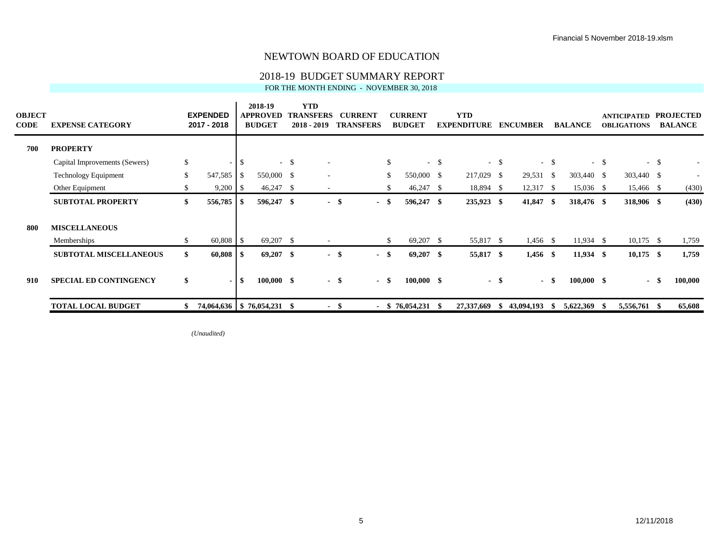#### 2018-19 BUDGET SUMMARY REPORT

FOR THE MONTH ENDING - NOVEMBER 30, 2018

| <b>OBJECT</b><br><b>CODE</b> | <b>EXPENSE CATEGORY</b>       |               | <b>EXPENDED</b><br>2017 - 2018 |               | 2018-19<br><b>APPROVED</b><br><b>BUDGET</b> |        | <b>YTD</b><br><b>TRANSFERS</b><br>$2018 - 2019$ |      | <b>CURRENT</b><br><b>TRANSFERS</b> |              | <b>CURRENT</b><br><b>BUDGET</b> |        | <b>YTD</b><br><b>EXPENDITURE</b> |        | <b>ENCUMBER</b> |        | <b>BALANCE</b> |        | <b>ANTICIPATED</b><br><b>OBLIGATIONS</b> |       | <b>PROJECTED</b><br><b>BALANCE</b> |
|------------------------------|-------------------------------|---------------|--------------------------------|---------------|---------------------------------------------|--------|-------------------------------------------------|------|------------------------------------|--------------|---------------------------------|--------|----------------------------------|--------|-----------------|--------|----------------|--------|------------------------------------------|-------|------------------------------------|
| 700                          | <b>PROPERTY</b>               |               |                                |               |                                             |        |                                                 |      |                                    |              |                                 |        |                                  |        |                 |        |                |        |                                          |       |                                    |
|                              | Capital Improvements (Sewers) | $\mathcal{L}$ | $\sim$                         | $\mathcal{S}$ |                                             | $-$ \$ |                                                 |      |                                    | $\mathbb{S}$ |                                 | $-$ \$ |                                  | $-$ \$ |                 | $-$ \$ |                | $-$ \$ |                                          | $- S$ |                                    |
|                              | <b>Technology Equipment</b>   | <sup>\$</sup> | 547,585                        | - \$          | 550,000 \$                                  |        |                                                 |      |                                    | \$           | 550,000 \$                      |        | 217,029 \$                       |        | 29,531          | - \$   | 303,440 \$     |        | 303,440 \$                               |       |                                    |
|                              | Other Equipment               | $\mathbb{S}$  | $9,200$   \$                   |               | $46,247$ \$                                 |        | $\overline{\phantom{a}}$                        |      |                                    | \$           | $46,247$ \$                     |        | 18,894 \$                        |        | 12,317          | -S     | $15,036$ \$    |        | 15,466 \$                                |       | (430)                              |
|                              | <b>SUBTOTAL PROPERTY</b>      | \$            | 556,785 \$                     |               | 596,247 \$                                  |        | $\sim$                                          | - \$ | $\blacksquare$                     | \$           | 596,247 \$                      |        | 235,923 \$                       |        | 41,847          | -S     | 318,476 \$     |        | 318,906 \$                               |       | (430)                              |
| 800                          | <b>MISCELLANEOUS</b>          |               |                                |               |                                             |        |                                                 |      |                                    |              |                                 |        |                                  |        |                 |        |                |        |                                          |       |                                    |
|                              | Memberships                   | \$            | $60,808$ \$                    |               | $69,207$ \$                                 |        | $\sim$                                          |      |                                    | \$           | 69,207 \$                       |        | 55,817 \$                        |        | $1,456$ \$      |        | $11,934$ \$    |        | $10,175$ \$                              |       | 1,759                              |
|                              | <b>SUBTOTAL MISCELLANEOUS</b> | \$            | $60,808$ \ \ \$                |               | $69,207$ \$                                 |        | $\sim$                                          | - \$ | $\sim$                             | - \$         | $69,207$ \$                     |        | 55,817 \$                        |        | $1,456$ \$      |        | $11,934$ \$    |        | $10,175$ \$                              |       | 1,759                              |
| 910                          | <b>SPECIAL ED CONTINGENCY</b> | \$            | $\blacksquare$                 | \$            | $100,000$ \$                                |        |                                                 | - \$ | $\sim$                             | - \$         | $100,000$ \$                    |        | $\sim$                           | -\$    |                 | - \$   | $100,000$ \$   |        | $\sim$                                   | -86   | 100,000                            |
|                              | <b>TOTAL LOCAL BUDGET</b>     | \$.           |                                |               | 74,064,636   \$76,054,231 \$                |        |                                                 | - \$ |                                    |              | $-$ \$ 76,054,231 \$            |        | 27,337,669                       | -SS    | 43,094,193      | -S     | 5,622,369      |        | 5,556,761 \$                             |       | 65,608                             |

*(Unaudited)*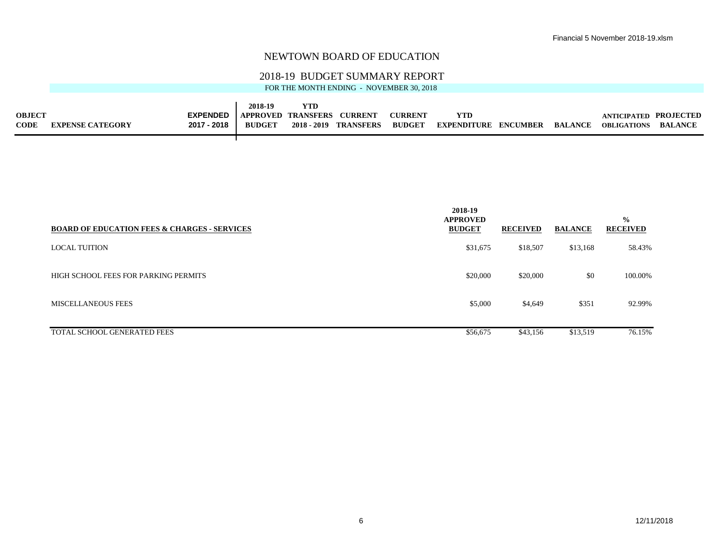#### 2018-19 BUDGET SUMMARY REPORT

|               |                         |                 | 2018-19       | YTD                       |                       |                |                             |                |                       |                |
|---------------|-------------------------|-----------------|---------------|---------------------------|-----------------------|----------------|-----------------------------|----------------|-----------------------|----------------|
| <b>OBJECT</b> |                         | <b>EXPENDED</b> |               | <b>APPROVED TRANSFERS</b> | . CURRENT             | <b>CURRENT</b> | YTI                         |                | ANTICIPATED PROJECTED |                |
| <b>CODE</b>   | <b>EXPENSE CATEGORY</b> | 2017 - 2018     | <b>BUDGET</b> |                           | 2018 - 2019 TRANSFERS | <b>BUDGET</b>  | <b>EXPENDITURE ENCUMBER</b> | <b>BALANCE</b> | <b>OBLIGATIONS</b>    | <b>BALANCE</b> |
|               |                         |                 |               |                           |                       |                |                             |                |                       |                |

| <b>BOARD OF EDUCATION FEES &amp; CHARGES - SERVICES</b> | 2018-19<br><b>APPROVED</b><br><b>BUDGET</b> | <b>RECEIVED</b> | <b>BALANCE</b> | $\frac{0}{0}$<br><b>RECEIVED</b> |
|---------------------------------------------------------|---------------------------------------------|-----------------|----------------|----------------------------------|
| <b>LOCAL TUITION</b>                                    | \$31,675                                    | \$18,507        | \$13,168       | 58.43%                           |
| HIGH SCHOOL FEES FOR PARKING PERMITS                    | \$20,000                                    | \$20,000        | \$0            | 100.00%                          |
| <b>MISCELLANEOUS FEES</b>                               | \$5,000                                     | \$4,649         | \$351          | 92.99%                           |
| <b>TOTAL SCHOOL GENERATED FEES</b>                      | \$56,675                                    | \$43,156        | \$13,519       | 76.15%                           |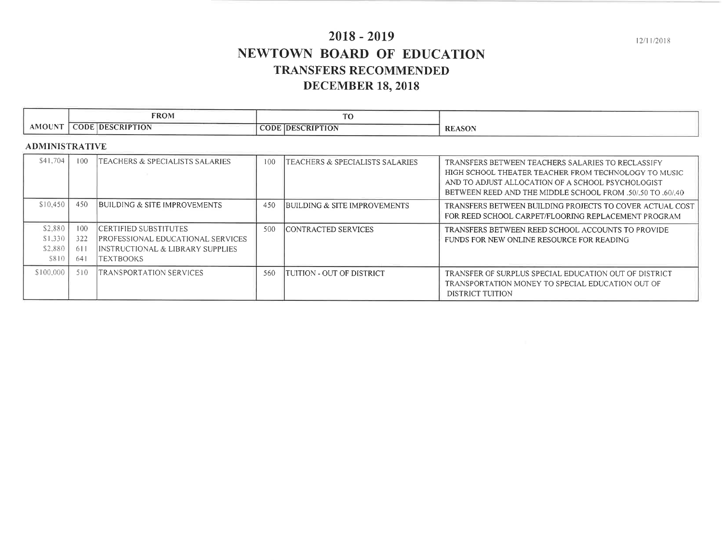# $2018 - 2019$ NEWTOWN BOARD OF EDUCATION **TRANSFERS RECOMMENDED DECEMBER 18, 2018**

 $12/11/2018$ 

|                 | <b>FROM</b>                                     | $\sim$<br>U                                                                                                                                                                                                                                                         |               |
|-----------------|-------------------------------------------------|---------------------------------------------------------------------------------------------------------------------------------------------------------------------------------------------------------------------------------------------------------------------|---------------|
| $AMOUN^{\circ}$ | CODE.<br>SCRIP'<br><b>TION</b><br>IDESC<br>____ | <b>CODE.</b><br><b>DESCRIPTION</b><br>the control of the control of the control of the control of the control of the control of the control of the control of the control of the control of the control of the control of the control of the control of the control | <b>REASON</b> |

#### **ADMINISTRATIVE**

| \$41,704  | -100 | ITEACHERS & SPECIALISTS SALARIES          | 100 | TEACHERS & SPECIALISTS SALARIES | TRANSFERS BETWEEN TEACHERS SALARIES TO RECLASSIFY        |
|-----------|------|-------------------------------------------|-----|---------------------------------|----------------------------------------------------------|
|           |      |                                           |     |                                 | HIGH SCHOOL THEATER TEACHER FROM TECHNOLOGY TO MUSIC     |
|           |      |                                           |     |                                 | AND TO ADJUST ALLOCATION OF A SCHOOL PSYCHOLOGIST        |
|           |      |                                           |     |                                 | BETWEEN REED AND THE MIDDLE SCHOOL FROM 50/50 TO 50/40   |
|           |      |                                           |     |                                 |                                                          |
| \$10,450  | 450  | BUILDING & SITE IMPROVEMENTS              | 450 | BUILDING & SITE IMPROVEMENTS    | TRANSFERS BETWEEN BUILDING PROJECTS TO COVER ACTUAL COST |
|           |      |                                           |     |                                 | FOR REED SCHOOL CARPET/FLOORING REPLACEMENT PROGRAM      |
|           |      |                                           |     |                                 |                                                          |
| \$2.880   | 100  | CERTIFIED SUBSTITUTES                     | 500 | <b>ICONTRACTED SERVICES</b>     | TRANSFERS BETWEEN REED SCHOOL ACCOUNTS TO PROVIDE        |
| \$1.330   | 322  | <b>IPROFESSIONAL EDUCATIONAL SERVICES</b> |     |                                 | FUNDS FOR NEW ONLINE RESOURCE FOR READING                |
| \$2.880   | -611 | IINSTRUCTIONAL & LIBRARY SUPPLIES         |     |                                 |                                                          |
| S810      | -641 | <b>TEXTBOOKS</b>                          |     |                                 |                                                          |
|           |      |                                           |     |                                 |                                                          |
| \$100,000 | 510  | ITRANSPORTATION SERVICES                  | 560 | ITUITION - OUT OF DISTRICT      | TRANSFER OF SURPLUS SPECIAL EDUCATION OUT OF DISTRICT    |
|           |      |                                           |     |                                 | <b>TRANSPORTATION MONEY TO SPECIAL EDUCATION OUT OF</b>  |
|           |      |                                           |     |                                 | DISTRICT TUITION                                         |
|           |      |                                           |     |                                 |                                                          |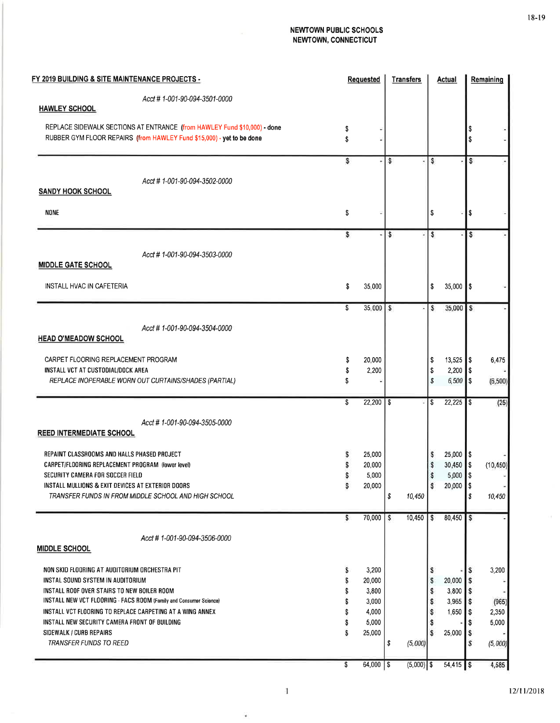| FY 2019 BUILDING & SITE MAINTENANCE PROJECTS -                                                                                                    |          | <b>Requested</b>       | <b>Transfers</b> | Actual                                |            | Remaining |
|---------------------------------------------------------------------------------------------------------------------------------------------------|----------|------------------------|------------------|---------------------------------------|------------|-----------|
| Acct # 1-001-90-094-3501-0000<br><b>HAWLEY SCHOOL</b>                                                                                             |          |                        |                  |                                       |            |           |
|                                                                                                                                                   |          |                        |                  |                                       |            |           |
| REPLACE SIDEWALK SECTIONS AT ENTRANCE (from HAWLEY Fund \$10,000) - done<br>RUBBER GYM FLOOR REPAIRS (from HAWLEY Fund \$15,000) - yet to be done | \$<br>\$ |                        |                  |                                       | \$         |           |
|                                                                                                                                                   | S        | ÷                      | s                | s                                     | \$         |           |
|                                                                                                                                                   |          |                        |                  |                                       |            |           |
| Acct # 1-001-90-094-3502-0000                                                                                                                     |          |                        |                  |                                       |            |           |
| <b>SANDY HOOK SCHOOL</b>                                                                                                                          |          |                        |                  |                                       |            |           |
| <b>NONE</b>                                                                                                                                       | \$       |                        |                  | \$                                    | S          |           |
|                                                                                                                                                   |          |                        |                  |                                       |            |           |
|                                                                                                                                                   | s        | ÷                      | S.               | \$                                    | s          |           |
| Acct #1-001-90-094-3503-0000                                                                                                                      |          |                        |                  |                                       |            |           |
| <b>MIDDLE GATE SCHOOL</b>                                                                                                                         |          |                        |                  |                                       |            |           |
|                                                                                                                                                   |          |                        |                  |                                       |            |           |
| INSTALL HVAC IN CAFETERIA                                                                                                                         | \$       | 35,000                 |                  | \$<br>35,000 \$                       |            |           |
|                                                                                                                                                   | \$       |                        |                  |                                       |            |           |
|                                                                                                                                                   |          | $35,000$ $\frac{5}{5}$ |                  | 35,000<br>s                           | l\$        |           |
| Acct # 1-001-90-094-3504-0000                                                                                                                     |          |                        |                  |                                       |            |           |
| <b>HEAD O'MEADOW SCHOOL</b>                                                                                                                       |          |                        |                  |                                       |            |           |
|                                                                                                                                                   |          |                        |                  |                                       |            |           |
| CARPET FLOORING REPLACEMENT PROGRAM<br>INSTALL VCT AT CUSTODIAL/DOCK AREA                                                                         | \$       | 20,000<br>2,200        |                  | \$<br>$13,525$ \$<br>\$<br>$2,200$ \$ |            | 6,475     |
| REPLACE INOPERABLE WORN OUT CURTAINS/SHADES (PARTIAL)                                                                                             |          |                        |                  | s                                     | $6,500$ \$ | (6, 500)  |
|                                                                                                                                                   |          |                        |                  |                                       |            |           |
|                                                                                                                                                   | \$       | 22,200                 | - \$             | $22,225$ \$<br>\$                     |            | (25)      |
| Acct #1-001-90-094-3505-0000                                                                                                                      |          |                        |                  |                                       |            |           |
| <b>REED INTERMEDIATE SCHOOL</b>                                                                                                                   |          |                        |                  |                                       |            |           |
|                                                                                                                                                   |          |                        |                  |                                       |            |           |
| REPAINT CLASSROOMS AND HALLS PHASED PROJECT                                                                                                       |          | 25,000                 |                  | $25,000$ \$<br>s                      |            |           |
| CARPET/FLOORING REPLACEMENT PROGRAM (lower level)                                                                                                 |          | 20,000                 |                  | $30,450$ \$<br>\$                     |            | (10, 450) |
| SECURITY CAMERA FOR SOCCER FIELD<br>INSTALL MULLIONS & EXIT DEVICES AT EXTERIOR DOORS                                                             |          | 5,000                  |                  | $5,000$ \$<br>\$<br>20,000            |            |           |
| TRANSFER FUNDS IN FROM MIDDLE SCHOOL AND HIGH SCHOOL                                                                                              |          | 20,000                 | \$<br>10,450     | \$                                    | \$<br>\$   | 10,450    |
|                                                                                                                                                   |          |                        |                  |                                       |            |           |
|                                                                                                                                                   | \$       | 70,000                 | 10,450<br>s      | l s<br>80,450                         | S          |           |
|                                                                                                                                                   |          |                        |                  |                                       |            |           |
| Acct # 1-001-90-094-3506-0000<br><b>MIDDLE SCHOOL</b>                                                                                             |          |                        |                  |                                       |            |           |
|                                                                                                                                                   |          |                        |                  |                                       |            |           |
| NON SKID FLOORING AT AUDITORIUM ORCHESTRA PIT                                                                                                     | s        | 3,200                  |                  | s                                     |            | 3,200     |
| INSTAL SOUND SYSTEM IN AUDITORIUM                                                                                                                 | \$       | 20,000                 |                  | 20,000<br>s                           | ۱S         |           |
| INSTALL ROOF OVER STAIRS TO NEW BOILER ROOM                                                                                                       | Ŝ        | 3,800                  |                  | 3,800<br>s                            | IS         |           |
| INSTALL NEW VCT FLOORING - FACS ROOM (Family and Consumer Science)                                                                                |          | 3,000                  |                  | $3,965$ \$<br>s                       |            | (965)     |
| INSTALL VCT FLOORING TO REPLACE CARPETING AT A WING ANNEX                                                                                         |          | 4,000                  |                  | $1,650$ \$<br>s                       |            | 2,350     |
| INSTALL NEW SECURITY CAMERA FRONT OF BUILDING                                                                                                     |          | 5,000                  |                  | s                                     |            | 5,000     |
| SIDEWALK / CURB REPAIRS<br>TRANSFER FUNDS TO REED                                                                                                 | s        | 25,000                 |                  | 25,000<br>s                           | l S        |           |
|                                                                                                                                                   |          |                        | \$<br>(5,000)    |                                       | s          | (5,000)   |
|                                                                                                                                                   | \$       | $64,000$ \$            | $(5,000)$ \$     | $54,415$ \$                           |            | 4,585     |

 $\mathbf 1$ 

 $\bullet$